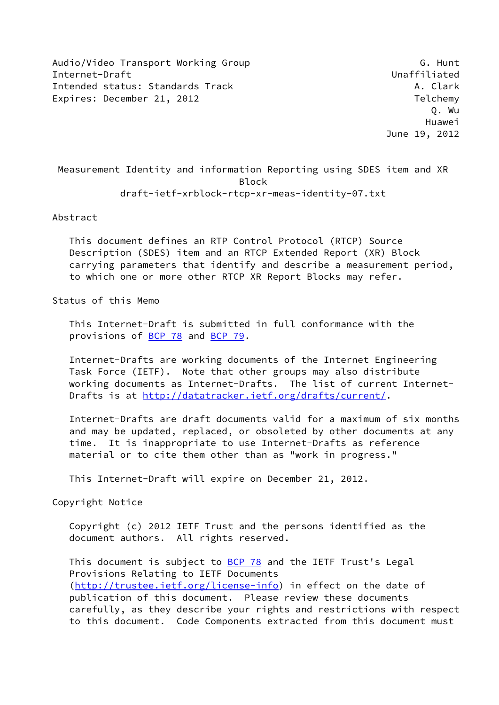Audio/Video Transport Working Group G. G. Hunt Internet-Draft Unaffiliated Intended status: Standards Track A. Clark A. Clark Expires: December 21, 2012 **Telchemy** 

 Measurement Identity and information Reporting using SDES item and XR Block draft-ietf-xrblock-rtcp-xr-meas-identity-07.txt

### Abstract

 This document defines an RTP Control Protocol (RTCP) Source Description (SDES) item and an RTCP Extended Report (XR) Block carrying parameters that identify and describe a measurement period, to which one or more other RTCP XR Report Blocks may refer.

Status of this Memo

 This Internet-Draft is submitted in full conformance with the provisions of **BCP 78** and **BCP 79**.

 Internet-Drafts are working documents of the Internet Engineering Task Force (IETF). Note that other groups may also distribute working documents as Internet-Drafts. The list of current Internet Drafts is at<http://datatracker.ietf.org/drafts/current/>.

 Internet-Drafts are draft documents valid for a maximum of six months and may be updated, replaced, or obsoleted by other documents at any time. It is inappropriate to use Internet-Drafts as reference material or to cite them other than as "work in progress."

This Internet-Draft will expire on December 21, 2012.

Copyright Notice

 Copyright (c) 2012 IETF Trust and the persons identified as the document authors. All rights reserved.

This document is subject to **[BCP 78](https://datatracker.ietf.org/doc/pdf/bcp78)** and the IETF Trust's Legal Provisions Relating to IETF Documents [\(http://trustee.ietf.org/license-info](http://trustee.ietf.org/license-info)) in effect on the date of publication of this document. Please review these documents carefully, as they describe your rights and restrictions with respect to this document. Code Components extracted from this document must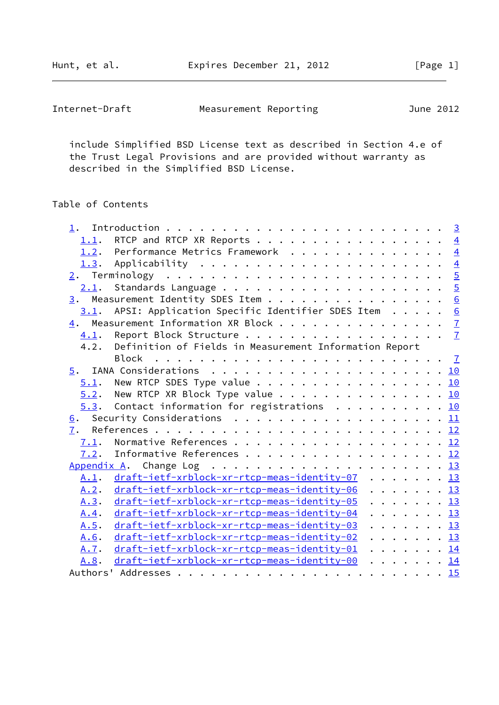Hunt, et al. **Expires December 21, 2012** [Page 1]

| Internet-Draft<br>Measurement Reporting | June 2012 |  |
|-----------------------------------------|-----------|--|
|-----------------------------------------|-----------|--|

 include Simplified BSD License text as described in Section 4.e of the Trust Legal Provisions and are provided without warranty as described in the Simplified BSD License.

# Table of Contents

| 1.   |                                                                                              |  |
|------|----------------------------------------------------------------------------------------------|--|
| 1.1. |                                                                                              |  |
|      | 1.2. Performance Metrics Framework 4                                                         |  |
|      | <u>1.3</u> . Applicability <u>4</u>                                                          |  |
|      |                                                                                              |  |
|      |                                                                                              |  |
|      | 3. Measurement Identity SDES Item 6                                                          |  |
|      | $3.1$ . APSI: Application Specific Identifier SDES Item 6                                    |  |
|      | $\underline{4}$ . Measurement Information XR Block $\underline{7}$                           |  |
| 4.1. |                                                                                              |  |
| 4.2. | Definition of Fields in Measurement Information Report                                       |  |
|      | Block                                                                                        |  |
| 5.   | IANA Considerations $\ldots \ldots \ldots \ldots \ldots \ldots \ldots \ldots \underline{10}$ |  |
|      | $\underline{5.1}$ . New RTCP SDES Type value 10                                              |  |
|      | $5.2$ . New RTCP XR Block Type value 10                                                      |  |
|      | $5.3$ . Contact information for registrations 10                                             |  |
|      | 6. Security Considerations 11                                                                |  |
|      |                                                                                              |  |
| 7.1. |                                                                                              |  |
|      | 7.2. Informative References 12                                                               |  |
|      |                                                                                              |  |
| A.1. | draft-ietf-xrblock-xr-rtcp-meas-identity-07 13                                               |  |
| A.2. | draft-ietf-xrblock-xr-rtcp-meas-identity-06 13                                               |  |
| A.3. | draft-ietf-xrblock-xr-rtcp-meas-identity-05 13                                               |  |
| A.4. | draft-ietf-xrblock-xr-rtcp-meas-identity-04 13                                               |  |
| A.5. | draft-ietf-xrblock-xr-rtcp-meas-identity-03 13                                               |  |
| A.6. | draft-ietf-xrblock-xr-rtcp-meas-identity-02 13                                               |  |
| A.7. | draft-ietf-xrblock-xr-rtcp-meas-identity-01 14                                               |  |
| A.8. | draft-ietf-xrblock-xr-rtcp-meas-identity-00 14                                               |  |
|      |                                                                                              |  |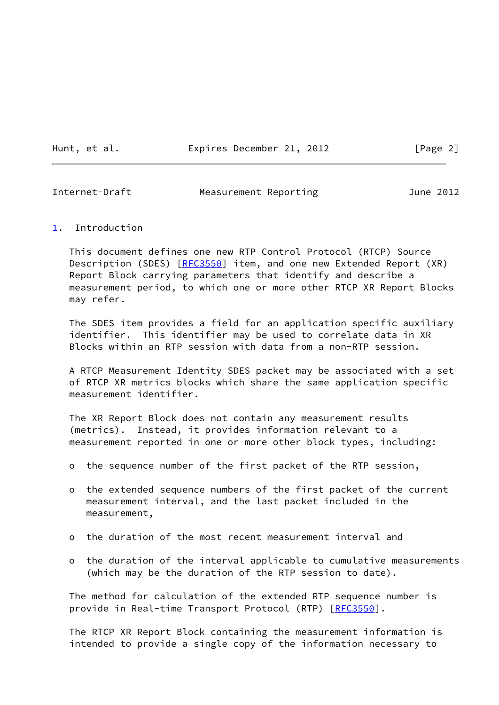Hunt, et al. **Expires December 21, 2012** [Page 2]

<span id="page-2-1"></span>Internet-Draft Measurement Reporting June 2012

#### <span id="page-2-0"></span>[1](#page-2-0). Introduction

 This document defines one new RTP Control Protocol (RTCP) Source Description (SDES) [[RFC3550\]](https://datatracker.ietf.org/doc/pdf/rfc3550) item, and one new Extended Report (XR) Report Block carrying parameters that identify and describe a measurement period, to which one or more other RTCP XR Report Blocks may refer.

 The SDES item provides a field for an application specific auxiliary identifier. This identifier may be used to correlate data in XR Blocks within an RTP session with data from a non-RTP session.

 A RTCP Measurement Identity SDES packet may be associated with a set of RTCP XR metrics blocks which share the same application specific measurement identifier.

 The XR Report Block does not contain any measurement results (metrics). Instead, it provides information relevant to a measurement reported in one or more other block types, including:

- o the sequence number of the first packet of the RTP session,
- o the extended sequence numbers of the first packet of the current measurement interval, and the last packet included in the measurement,
- o the duration of the most recent measurement interval and
- o the duration of the interval applicable to cumulative measurements (which may be the duration of the RTP session to date).

 The method for calculation of the extended RTP sequence number is provide in Real-time Transport Protocol (RTP) [[RFC3550](https://datatracker.ietf.org/doc/pdf/rfc3550)].

 The RTCP XR Report Block containing the measurement information is intended to provide a single copy of the information necessary to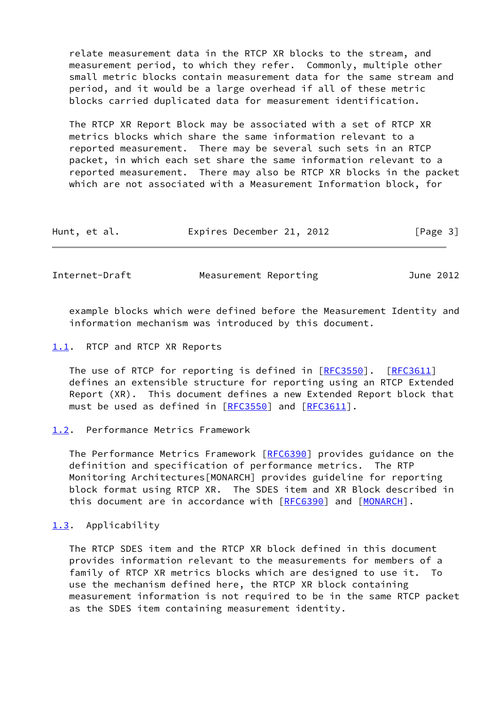relate measurement data in the RTCP XR blocks to the stream, and measurement period, to which they refer. Commonly, multiple other small metric blocks contain measurement data for the same stream and period, and it would be a large overhead if all of these metric blocks carried duplicated data for measurement identification.

 The RTCP XR Report Block may be associated with a set of RTCP XR metrics blocks which share the same information relevant to a reported measurement. There may be several such sets in an RTCP packet, in which each set share the same information relevant to a reported measurement. There may also be RTCP XR blocks in the packet which are not associated with a Measurement Information block, for

| Hunt, et al. | Expires December 21, 2012 | [Page 3] |
|--------------|---------------------------|----------|
|--------------|---------------------------|----------|

<span id="page-3-1"></span>Internet-Draft Measurement Reporting and June 2012

 example blocks which were defined before the Measurement Identity and information mechanism was introduced by this document.

#### <span id="page-3-0"></span>[1.1](#page-3-0). RTCP and RTCP XR Reports

 The use of RTCP for reporting is defined in [\[RFC3550](https://datatracker.ietf.org/doc/pdf/rfc3550)]. [\[RFC3611](https://datatracker.ietf.org/doc/pdf/rfc3611)] defines an extensible structure for reporting using an RTCP Extended Report (XR). This document defines a new Extended Report block that must be used as defined in [[RFC3550\]](https://datatracker.ietf.org/doc/pdf/rfc3550) and [\[RFC3611](https://datatracker.ietf.org/doc/pdf/rfc3611)].

#### <span id="page-3-2"></span>[1.2](#page-3-2). Performance Metrics Framework

 The Performance Metrics Framework [[RFC6390](https://datatracker.ietf.org/doc/pdf/rfc6390)] provides guidance on the definition and specification of performance metrics. The RTP Monitoring Architectures[MONARCH] provides guideline for reporting block format using RTCP XR. The SDES item and XR Block described in this document are in accordance with [\[RFC6390](https://datatracker.ietf.org/doc/pdf/rfc6390)] and [[MONARCH\]](#page-12-4).

#### <span id="page-3-3"></span>[1.3](#page-3-3). Applicability

 The RTCP SDES item and the RTCP XR block defined in this document provides information relevant to the measurements for members of a family of RTCP XR metrics blocks which are designed to use it. To use the mechanism defined here, the RTCP XR block containing measurement information is not required to be in the same RTCP packet as the SDES item containing measurement identity.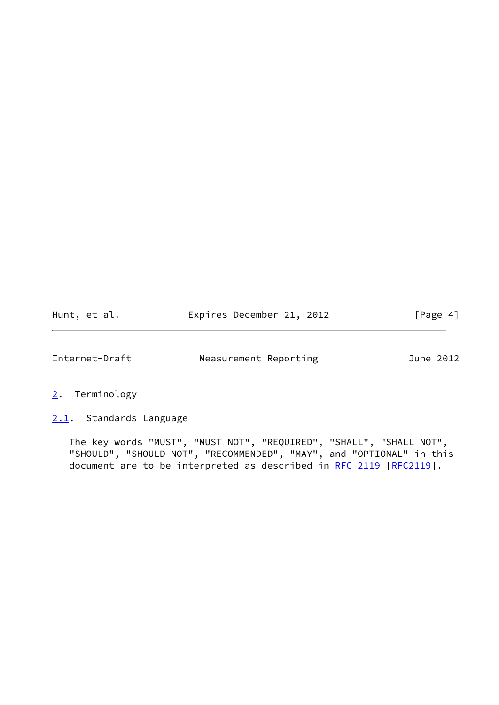| Hunt, et al. | Expires December 21, 2012 | [Page 4] |
|--------------|---------------------------|----------|
|--------------|---------------------------|----------|

<span id="page-4-1"></span>

- <span id="page-4-0"></span>[2](#page-4-0). Terminology
- <span id="page-4-2"></span>[2.1](#page-4-2). Standards Language

 The key words "MUST", "MUST NOT", "REQUIRED", "SHALL", "SHALL NOT", "SHOULD", "SHOULD NOT", "RECOMMENDED", "MAY", and "OPTIONAL" in this document are to be interpreted as described in [RFC 2119 \[RFC2119](https://datatracker.ietf.org/doc/pdf/rfc2119)].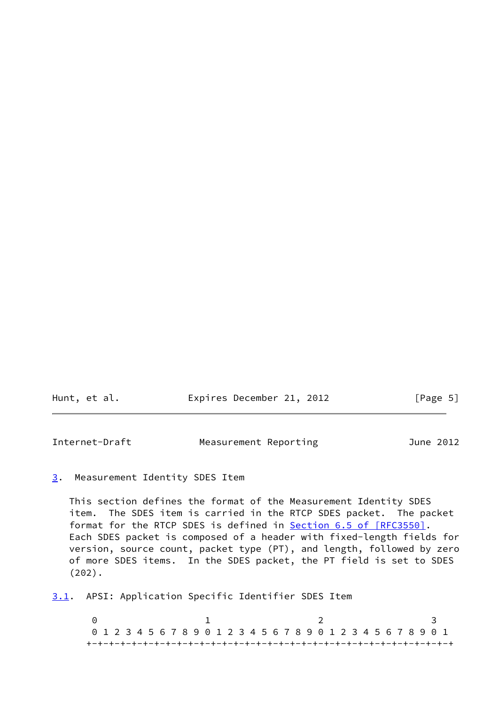<span id="page-5-1"></span>

| Hunt, et al. | Expires December 21, 2012 | [Page 5] |
|--------------|---------------------------|----------|
|              |                           |          |

#### <span id="page-5-0"></span>[3](#page-5-0). Measurement Identity SDES Item

 This section defines the format of the Measurement Identity SDES item. The SDES item is carried in the RTCP SDES packet. The packet format for the RTCP SDES is defined in **Section 6.5 of [RFC3550]**. Each SDES packet is composed of a header with fixed-length fields for version, source count, packet type (PT), and length, followed by zero of more SDES items. In the SDES packet, the PT field is set to SDES (202).

<span id="page-5-2"></span>[3.1](#page-5-2). APSI: Application Specific Identifier SDES Item

0 1 2 3 0 1 2 3 4 5 6 7 8 9 0 1 2 3 4 5 6 7 8 9 0 1 2 3 4 5 6 7 8 9 0 1 +-+-+-+-+-+-+-+-+-+-+-+-+-+-+-+-+-+-+-+-+-+-+-+-+-+-+-+-+-+-+-+-+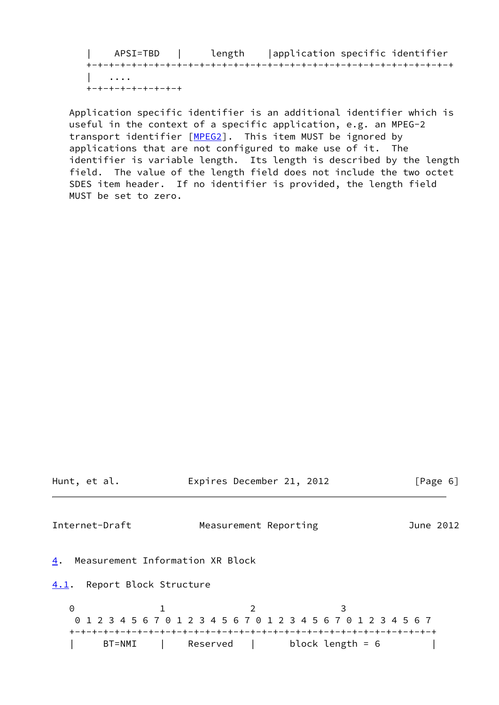| APSI=TBD | length |application specific identifier +-+-+-+-+-+-+-+-+-+-+-+-+-+-+-+-+-+-+-+-+-+-+-+-+-+-+-+-+-+-+-+-+ | .... +-+-+-+-+-+-+-+-+

 Application specific identifier is an additional identifier which is useful in the context of a specific application, e.g. an MPEG-2 transport identifier [\[MPEG2\]](#page-12-5). This item MUST be ignored by applications that are not configured to make use of it. The identifier is variable length. Its length is described by the length field. The value of the length field does not include the two octet SDES item header. If no identifier is provided, the length field MUST be set to zero.

<span id="page-6-2"></span><span id="page-6-1"></span><span id="page-6-0"></span>

|               | Hunt, et al.                     | Expires December 21, 2012                                                 |                         |           | [Page 6] |
|---------------|----------------------------------|---------------------------------------------------------------------------|-------------------------|-----------|----------|
|               | Internet-Draft                   | Measurement Reporting                                                     |                         | June 2012 |          |
| 4.            | Measurement Information XR Block |                                                                           |                         |           |          |
| 4.1.          | Report Block Structure           |                                                                           |                         |           |          |
| 0<br>$\Theta$ | BT=NMI                           | 1 2 3 4 5 6 7 0 1 2 3 4 5 6 7 0 1 2 3 4 5 6 7 0 1 2 3 4 5 6 7<br>Reserved | 3<br>block length = $6$ |           |          |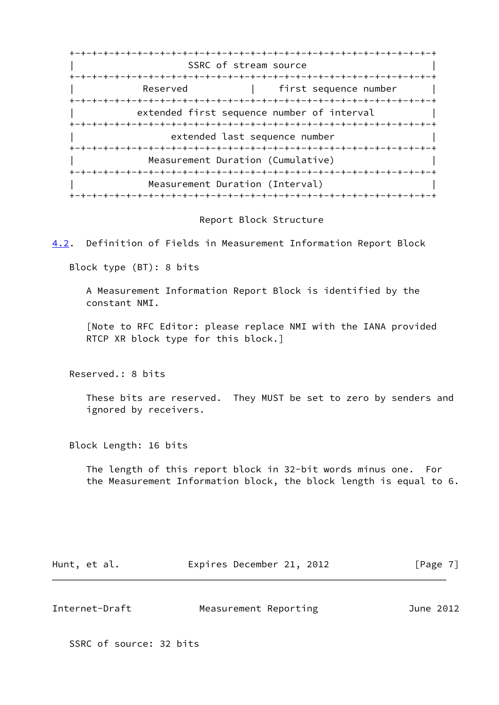+-+-+-+-+-+-+-+-+-+-+-+-+-+-+-+-+-+-+-+-+-+-+-+-+-+-+-+-+-+-+-+-+ SSRC of stream source +-+-+-+-+-+-+-+-+-+-+-+-+-+-+-+-+-+-+-+-+-+-+-+-+-+-+-+-+-+-+-+-+ Reserved | first sequence number +-+-+-+-+-+-+-+-+-+-+-+-+-+-+-+-+-+-+-+-+-+-+-+-+-+-+-+-+-+-+-+-+ extended first sequence number of interval +-+-+-+-+-+-+-+-+-+-+-+-+-+-+-+-+-+-+-+-+-+-+-+-+-+-+-+-+-+-+-+-+ extended last sequence number +-+-+-+-+-+-+-+-+-+-+-+-+-+-+-+-+-+-+-+-+-+-+-+-+-+-+-+-+-+-+-+-+ Measurement Duration (Cumulative) +-+-+-+-+-+-+-+-+-+-+-+-+-+-+-+-+-+-+-+-+-+-+-+-+-+-+-+-+-+-+-+-+ Measurement Duration (Interval) +-+-+-+-+-+-+-+-+-+-+-+-+-+-+-+-+-+-+-+-+-+-+-+-+-+-+-+-+-+-+-+-+

#### Report Block Structure

<span id="page-7-0"></span>[4.2](#page-7-0). Definition of Fields in Measurement Information Report Block

Block type (BT): 8 bits

 A Measurement Information Report Block is identified by the constant NMI.

 [Note to RFC Editor: please replace NMI with the IANA provided RTCP XR block type for this block.]

Reserved.: 8 bits

 These bits are reserved. They MUST be set to zero by senders and ignored by receivers.

Block Length: 16 bits

 The length of this report block in 32-bit words minus one. For the Measurement Information block, the block length is equal to 6.

| Hunt, et al. | Expires December 21, 2012 |  | [Page 7] |
|--------------|---------------------------|--|----------|
|--------------|---------------------------|--|----------|

| Internet-Draft |                       | June 2012 |
|----------------|-----------------------|-----------|
|                | Measurement Reporting |           |

SSRC of source: 32 bits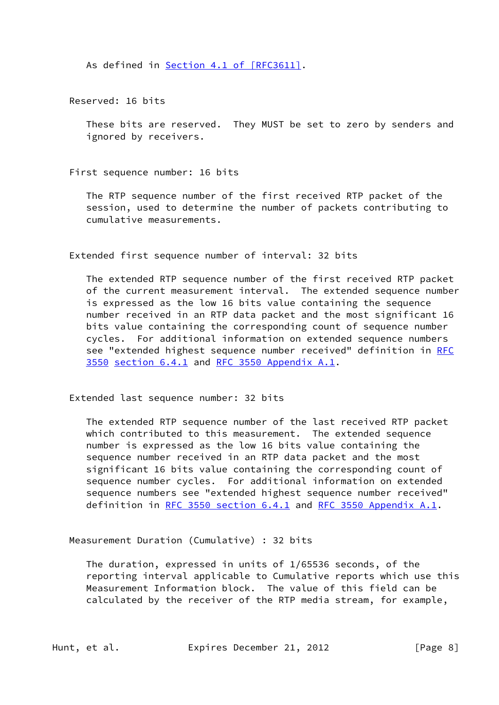As defined in Section [4.1 of \[RFC3611\]](https://datatracker.ietf.org/doc/pdf/rfc3611#section-4.1).

Reserved: 16 bits

 These bits are reserved. They MUST be set to zero by senders and ignored by receivers.

First sequence number: 16 bits

 The RTP sequence number of the first received RTP packet of the session, used to determine the number of packets contributing to cumulative measurements.

Extended first sequence number of interval: 32 bits

 The extended RTP sequence number of the first received RTP packet of the current measurement interval. The extended sequence number is expressed as the low 16 bits value containing the sequence number received in an RTP data packet and the most significant 16 bits value containing the corresponding count of sequence number cycles. For additional information on extended sequence numbers see "extended highest sequence number received" definition in [RFC](https://datatracker.ietf.org/doc/pdf/rfc3550) [3550](https://datatracker.ietf.org/doc/pdf/rfc3550) section 6.4.1 and [RFC 3550 Appendix](https://datatracker.ietf.org/doc/pdf/rfc3550#appendix-A.1) A.1.

Extended last sequence number: 32 bits

 The extended RTP sequence number of the last received RTP packet which contributed to this measurement. The extended sequence number is expressed as the low 16 bits value containing the sequence number received in an RTP data packet and the most significant 16 bits value containing the corresponding count of sequence number cycles. For additional information on extended sequence numbers see "extended highest sequence number received" definition in [RFC 3550 section](https://datatracker.ietf.org/doc/pdf/rfc3550#section-6.4.1) 6.4.1 and [RFC 3550 Appendix](https://datatracker.ietf.org/doc/pdf/rfc3550#appendix-A.1) A.1.

Measurement Duration (Cumulative) : 32 bits

 The duration, expressed in units of 1/65536 seconds, of the reporting interval applicable to Cumulative reports which use this Measurement Information block. The value of this field can be calculated by the receiver of the RTP media stream, for example,

Hunt, et al. **Expires December 21, 2012** [Page 8]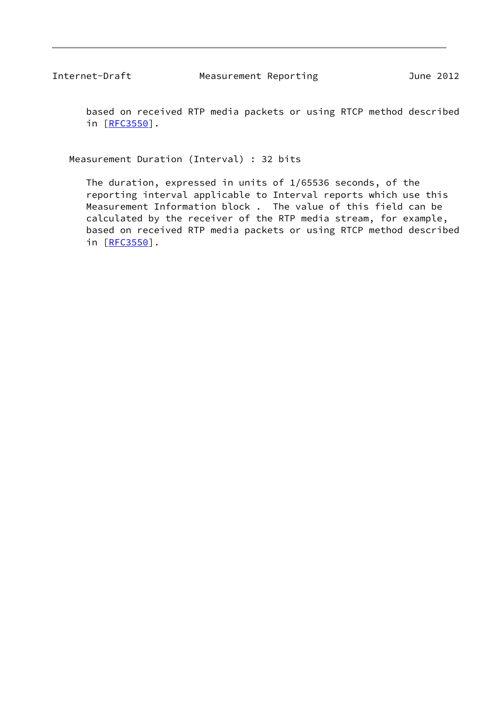based on received RTP media packets or using RTCP method described in [[RFC3550](https://datatracker.ietf.org/doc/pdf/rfc3550)].

Measurement Duration (Interval) : 32 bits

 The duration, expressed in units of 1/65536 seconds, of the reporting interval applicable to Interval reports which use this Measurement Information block . The value of this field can be calculated by the receiver of the RTP media stream, for example, based on received RTP media packets or using RTCP method described in [[RFC3550](https://datatracker.ietf.org/doc/pdf/rfc3550)].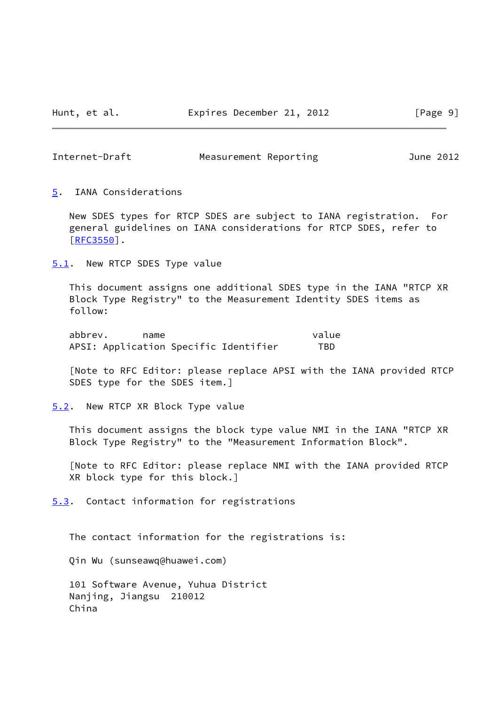<span id="page-10-1"></span>

<span id="page-10-0"></span>[5](#page-10-0). IANA Considerations

 New SDES types for RTCP SDES are subject to IANA registration. For general guidelines on IANA considerations for RTCP SDES, refer to [\[RFC3550](https://datatracker.ietf.org/doc/pdf/rfc3550)].

<span id="page-10-2"></span>[5.1](#page-10-2). New RTCP SDES Type value

 This document assigns one additional SDES type in the IANA "RTCP XR Block Type Registry" to the Measurement Identity SDES items as follow:

abbrev. name value APSI: Application Specific Identifier TBD

 [Note to RFC Editor: please replace APSI with the IANA provided RTCP SDES type for the SDES item.]

<span id="page-10-3"></span>[5.2](#page-10-3). New RTCP XR Block Type value

 This document assigns the block type value NMI in the IANA "RTCP XR Block Type Registry" to the "Measurement Information Block".

 [Note to RFC Editor: please replace NMI with the IANA provided RTCP XR block type for this block.]

<span id="page-10-4"></span>[5.3](#page-10-4). Contact information for registrations

The contact information for the registrations is:

Qin Wu (sunseawq@huawei.com)

 101 Software Avenue, Yuhua District Nanjing, Jiangsu 210012 China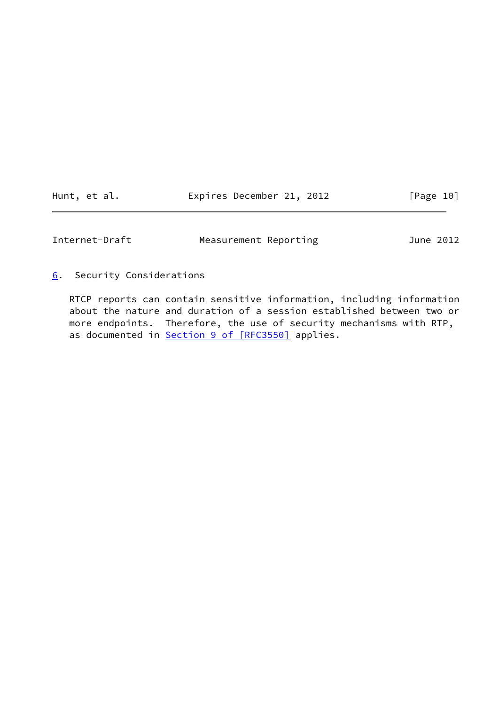<span id="page-11-1"></span>

| Hunt, et al. |  | Expires December 21, 2012 |  |  | [Page 10] |  |  |
|--------------|--|---------------------------|--|--|-----------|--|--|
|--------------|--|---------------------------|--|--|-----------|--|--|

<span id="page-11-0"></span>[6](#page-11-0). Security Considerations

 RTCP reports can contain sensitive information, including information about the nature and duration of a session established between two or more endpoints. Therefore, the use of security mechanisms with RTP, as documented in **Section [9 of \[RFC3550\]](https://datatracker.ietf.org/doc/pdf/rfc3550#section-9)** applies.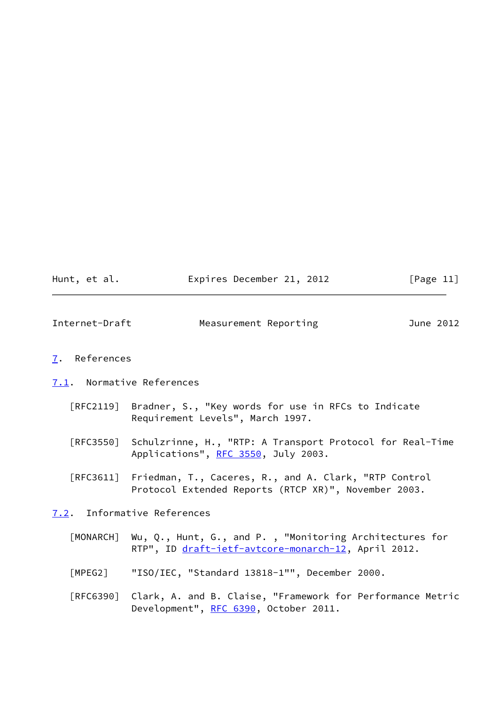| Hunt, et al. | Expires December 21, 2012 |  | [Page 11] |
|--------------|---------------------------|--|-----------|
|--------------|---------------------------|--|-----------|

<span id="page-12-1"></span>

| Internet-Draft | Measurement Reporting |  | June 2012 |
|----------------|-----------------------|--|-----------|
|                |                       |  |           |

### <span id="page-12-0"></span>[7](#page-12-0). References

#### <span id="page-12-2"></span>[7.1](#page-12-2). Normative References

- [RFC2119] Bradner, S., "Key words for use in RFCs to Indicate Requirement Levels", March 1997.
- [RFC3550] Schulzrinne, H., "RTP: A Transport Protocol for Real-Time Applications", [RFC 3550](https://datatracker.ietf.org/doc/pdf/rfc3550), July 2003.
- [RFC3611] Friedman, T., Caceres, R., and A. Clark, "RTP Control Protocol Extended Reports (RTCP XR)", November 2003.

### <span id="page-12-3"></span>[7.2](#page-12-3). Informative References

- <span id="page-12-4"></span> [MONARCH] Wu, Q., Hunt, G., and P. , "Monitoring Architectures for RTP", ID [draft-ietf-avtcore-monarch-12,](https://datatracker.ietf.org/doc/pdf/draft-ietf-avtcore-monarch-12) April 2012.
- <span id="page-12-5"></span>[MPEG2] "ISO/IEC, "Standard 13818-1"", December 2000.
- [RFC6390] Clark, A. and B. Claise, "Framework for Performance Metric Development", [RFC 6390](https://datatracker.ietf.org/doc/pdf/rfc6390), October 2011.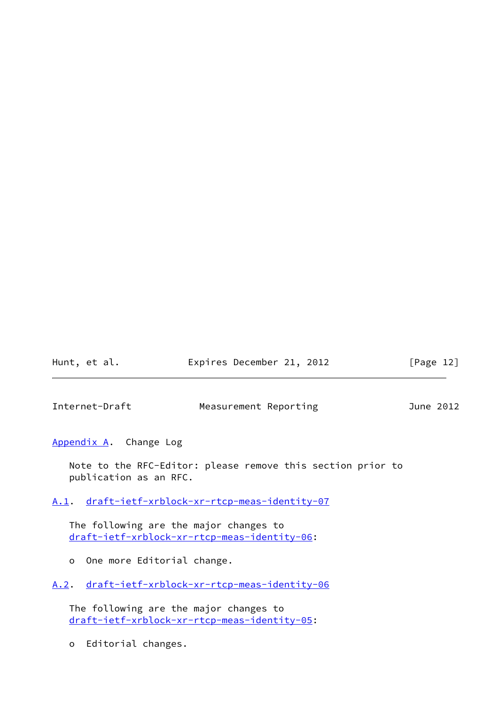| Hunt, et al. | Expires December 21, 2012 | [Page 12] |
|--------------|---------------------------|-----------|
|              |                           |           |

<span id="page-13-1"></span>

<span id="page-13-0"></span>[Appendix A.](#page-13-0) Change Log

 Note to the RFC-Editor: please remove this section prior to publication as an RFC.

<span id="page-13-2"></span>[A.1](#page-13-2). [draft-ietf-xrblock-xr-rtcp-meas-identity-07](https://datatracker.ietf.org/doc/pdf/draft-ietf-xrblock-xr-rtcp-meas-identity-07)

 The following are the major changes to [draft-ietf-xrblock-xr-rtcp-meas-identity-06](https://datatracker.ietf.org/doc/pdf/draft-ietf-xrblock-xr-rtcp-meas-identity-06):

o One more Editorial change.

<span id="page-13-3"></span>[A.2](#page-13-3). [draft-ietf-xrblock-xr-rtcp-meas-identity-06](https://datatracker.ietf.org/doc/pdf/draft-ietf-xrblock-xr-rtcp-meas-identity-06)

 The following are the major changes to [draft-ietf-xrblock-xr-rtcp-meas-identity-05](https://datatracker.ietf.org/doc/pdf/draft-ietf-xrblock-xr-rtcp-meas-identity-05):

o Editorial changes.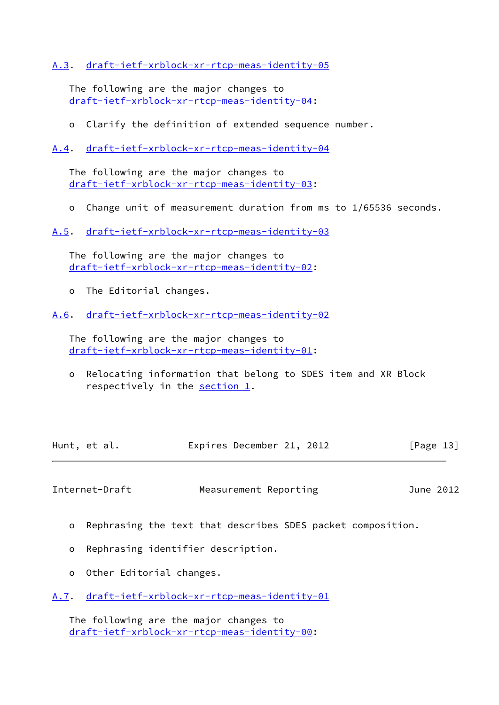## <span id="page-14-0"></span>[A.3](#page-14-0). [draft-ietf-xrblock-xr-rtcp-meas-identity-05](https://datatracker.ietf.org/doc/pdf/draft-ietf-xrblock-xr-rtcp-meas-identity-05)

 The following are the major changes to [draft-ietf-xrblock-xr-rtcp-meas-identity-04](https://datatracker.ietf.org/doc/pdf/draft-ietf-xrblock-xr-rtcp-meas-identity-04):

o Clarify the definition of extended sequence number.

<span id="page-14-1"></span>[A.4](#page-14-1). [draft-ietf-xrblock-xr-rtcp-meas-identity-04](https://datatracker.ietf.org/doc/pdf/draft-ietf-xrblock-xr-rtcp-meas-identity-04)

 The following are the major changes to [draft-ietf-xrblock-xr-rtcp-meas-identity-03](https://datatracker.ietf.org/doc/pdf/draft-ietf-xrblock-xr-rtcp-meas-identity-03):

o Change unit of measurement duration from ms to 1/65536 seconds.

<span id="page-14-2"></span>[A.5](#page-14-2). [draft-ietf-xrblock-xr-rtcp-meas-identity-03](https://datatracker.ietf.org/doc/pdf/draft-ietf-xrblock-xr-rtcp-meas-identity-03)

 The following are the major changes to [draft-ietf-xrblock-xr-rtcp-meas-identity-02](https://datatracker.ietf.org/doc/pdf/draft-ietf-xrblock-xr-rtcp-meas-identity-02):

o The Editorial changes.

<span id="page-14-3"></span>[A.6](#page-14-3). [draft-ietf-xrblock-xr-rtcp-meas-identity-02](https://datatracker.ietf.org/doc/pdf/draft-ietf-xrblock-xr-rtcp-meas-identity-02)

 The following are the major changes to [draft-ietf-xrblock-xr-rtcp-meas-identity-01](https://datatracker.ietf.org/doc/pdf/draft-ietf-xrblock-xr-rtcp-meas-identity-01):

 o Relocating information that belong to SDES item and XR Block respectively in the [section 1.](#page-2-0)

| Hunt, et al. | Expires December 21, 2012 | [Page 13] |
|--------------|---------------------------|-----------|
|--------------|---------------------------|-----------|

<span id="page-14-5"></span>Internet-Draft Measurement Reporting and June 2012

- o Rephrasing the text that describes SDES packet composition.
- o Rephrasing identifier description.
- o Other Editorial changes.
- <span id="page-14-4"></span>[A.7](#page-14-4). [draft-ietf-xrblock-xr-rtcp-meas-identity-01](https://datatracker.ietf.org/doc/pdf/draft-ietf-xrblock-xr-rtcp-meas-identity-01)

 The following are the major changes to [draft-ietf-xrblock-xr-rtcp-meas-identity-00](https://datatracker.ietf.org/doc/pdf/draft-ietf-xrblock-xr-rtcp-meas-identity-00):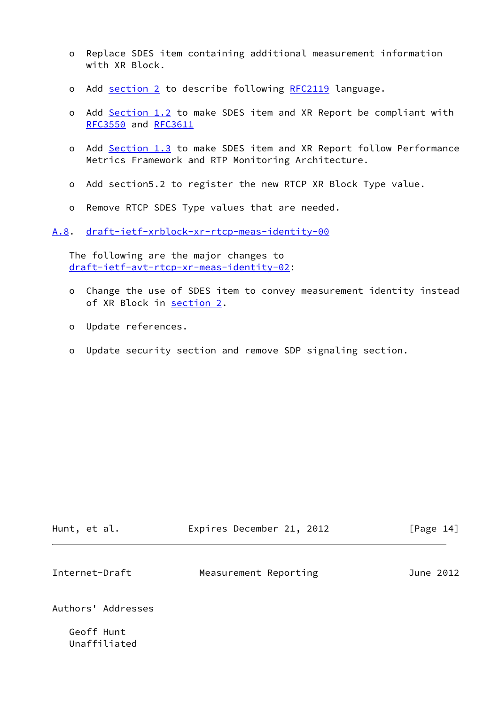- o Replace SDES item containing additional measurement information with XR Block.
- o Add [section 2](#page-4-0) to describe following [RFC2119](https://datatracker.ietf.org/doc/pdf/rfc2119) language.
- o Add [Section 1.2](#page-3-2) to make SDES item and XR Report be compliant with [RFC3550](https://datatracker.ietf.org/doc/pdf/rfc3550) and [RFC3611](https://datatracker.ietf.org/doc/pdf/rfc3611)
- o Add [Section 1.3](#page-3-3) to make SDES item and XR Report follow Performance Metrics Framework and RTP Monitoring Architecture.
- o Add section5.2 to register the new RTCP XR Block Type value.
- o Remove RTCP SDES Type values that are needed.

<span id="page-15-0"></span>[A.8](#page-15-0). [draft-ietf-xrblock-xr-rtcp-meas-identity-00](https://datatracker.ietf.org/doc/pdf/draft-ietf-xrblock-xr-rtcp-meas-identity-00)

 The following are the major changes to [draft-ietf-avt-rtcp-xr-meas-identity-02](https://datatracker.ietf.org/doc/pdf/draft-ietf-avt-rtcp-xr-meas-identity-02):

- o Change the use of SDES item to convey measurement identity instead of XR Block in [section 2.](#page-4-0)
- o Update references.
- o Update security section and remove SDP signaling section.

<span id="page-15-1"></span>

| Hunt, et al.       | Expires December 21, 2012 | [Page 14] |
|--------------------|---------------------------|-----------|
| Internet-Draft     | Measurement Reporting     | June 2012 |
| Authors' Addresses |                           |           |

 Geoff Hunt Unaffiliated